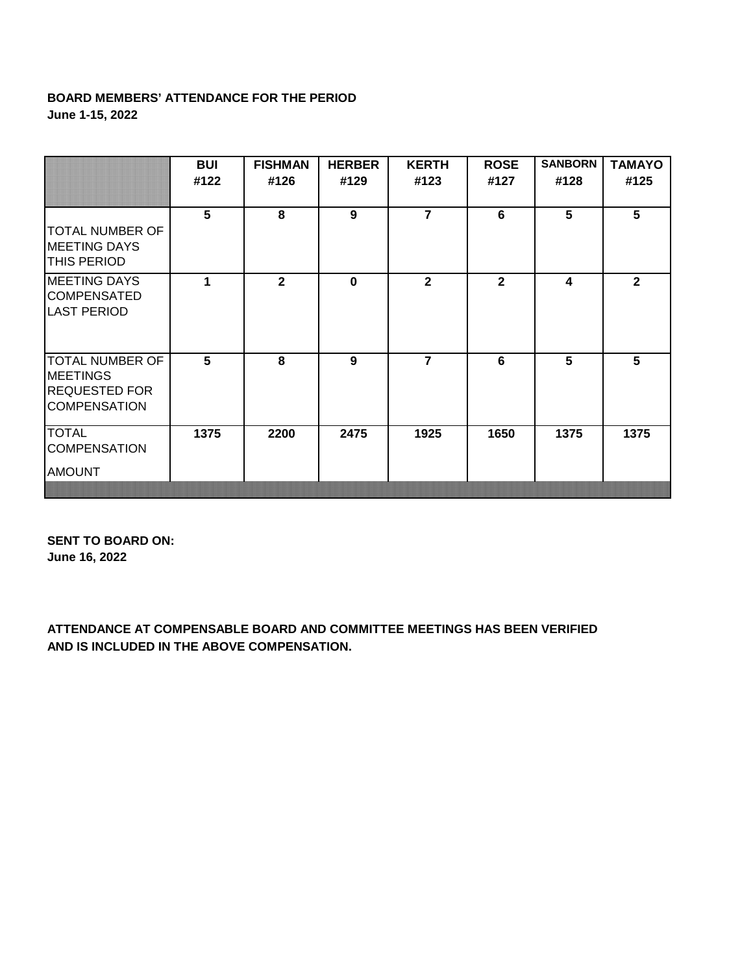## **BOARD MEMBERS' ATTENDANCE FOR THE PERIOD June 1-15, 2022**

|                                                                                          | BUI<br>#122 | <b>FISHMAN</b><br>#126 | <b>HERBER</b><br>#129 | <b>KERTH</b><br>#123 | <b>ROSE</b><br>#127 | <b>SANBORN</b><br>#128 | <b>TAMAYO</b><br>#125 |
|------------------------------------------------------------------------------------------|-------------|------------------------|-----------------------|----------------------|---------------------|------------------------|-----------------------|
| TOTAL NUMBER OF<br><b>MEETING DAYS</b><br><b>THIS PERIOD</b>                             | 5           | 8                      | 9                     | $\overline{7}$       | 6                   | 5                      | 5                     |
| <b>MEETING DAYS</b><br><b>COMPENSATED</b><br><b>LAST PERIOD</b>                          | 1           | $\mathbf{2}$           | $\mathbf 0$           | $\overline{2}$       | $\overline{2}$      | 4                      | $\overline{2}$        |
| <b>TOTAL NUMBER OF</b><br><b>MEETINGS</b><br><b>REQUESTED FOR</b><br><b>COMPENSATION</b> | 5           | 8                      | 9                     | $\overline{7}$       | 6                   | 5                      | 5                     |
| <b>TOTAL</b><br><b>COMPENSATION</b><br><b>AMOUNT</b>                                     | 1375        | 2200                   | 2475                  | 1925                 | 1650                | 1375                   | 1375                  |

**SENT TO BOARD ON: June 16, 2022**

**ATTENDANCE AT COMPENSABLE BOARD AND COMMITTEE MEETINGS HAS BEEN VERIFIED AND IS INCLUDED IN THE ABOVE COMPENSATION.**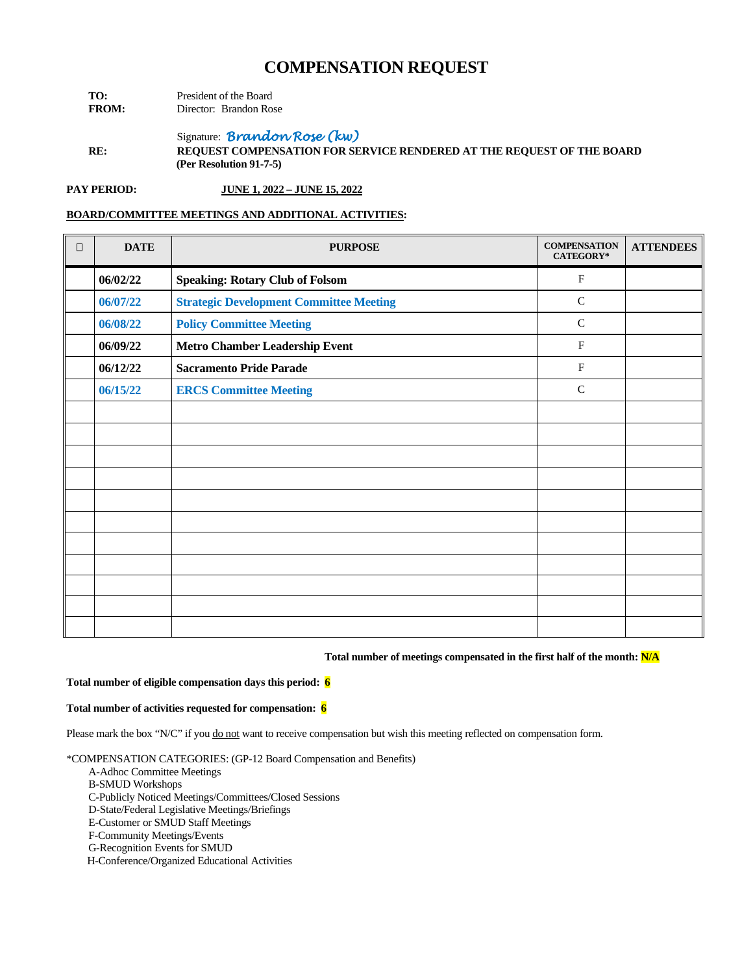**TO:** President of the Board<br> **FROM:** Director: Brandon Ro **Director:** Brandon Rose

Signature: *Brandon Rose (kw)*

**RE: REQUEST COMPENSATION FOR SERVICE RENDERED AT THE REQUEST OF THE BOARD (Per Resolution 91-7-5)**

**PAY PERIOD: JUNE 1, 2022 – JUNE 15, 2022**

#### **BOARD/COMMITTEE MEETINGS AND ADDITIONAL ACTIVITIES:**

| $\Box$ | <b>DATE</b> | <b>PURPOSE</b>                                 | <b>COMPENSATION</b><br><b>CATEGORY*</b> | <b>ATTENDEES</b> |
|--------|-------------|------------------------------------------------|-----------------------------------------|------------------|
|        | 06/02/22    | <b>Speaking: Rotary Club of Folsom</b>         | $\mathbf{F}$                            |                  |
|        | 06/07/22    | <b>Strategic Development Committee Meeting</b> | $\mathsf{C}$                            |                  |
|        | 06/08/22    | <b>Policy Committee Meeting</b>                | $\mathsf{C}$                            |                  |
|        | 06/09/22    | <b>Metro Chamber Leadership Event</b>          | $\mathbf{F}$                            |                  |
|        | 06/12/22    | <b>Sacramento Pride Parade</b>                 | $\mathbf{F}$                            |                  |
|        | 06/15/22    | <b>ERCS Committee Meeting</b>                  | $\mathsf{C}$                            |                  |
|        |             |                                                |                                         |                  |
|        |             |                                                |                                         |                  |
|        |             |                                                |                                         |                  |
|        |             |                                                |                                         |                  |
|        |             |                                                |                                         |                  |
|        |             |                                                |                                         |                  |
|        |             |                                                |                                         |                  |
|        |             |                                                |                                         |                  |
|        |             |                                                |                                         |                  |
|        |             |                                                |                                         |                  |
|        |             |                                                |                                         |                  |

#### **Total number of meetings compensated in the first half of the month: N/A**

### **Total number of eligible compensation days this period: 6**

#### **Total number of activities requested for compensation: 6**

Please mark the box "N/C" if you do not want to receive compensation but wish this meeting reflected on compensation form.

\*COMPENSATION CATEGORIES: (GP-12 Board Compensation and Benefits)

- A-Adhoc Committee Meetings
- B-SMUD Workshops
- C-Publicly Noticed Meetings/Committees/Closed Sessions

D-State/Federal Legislative Meetings/Briefings

E-Customer or SMUD Staff Meetings

F-Community Meetings/Events

G-Recognition Events for SMUD

H-Conference/Organized Educational Activities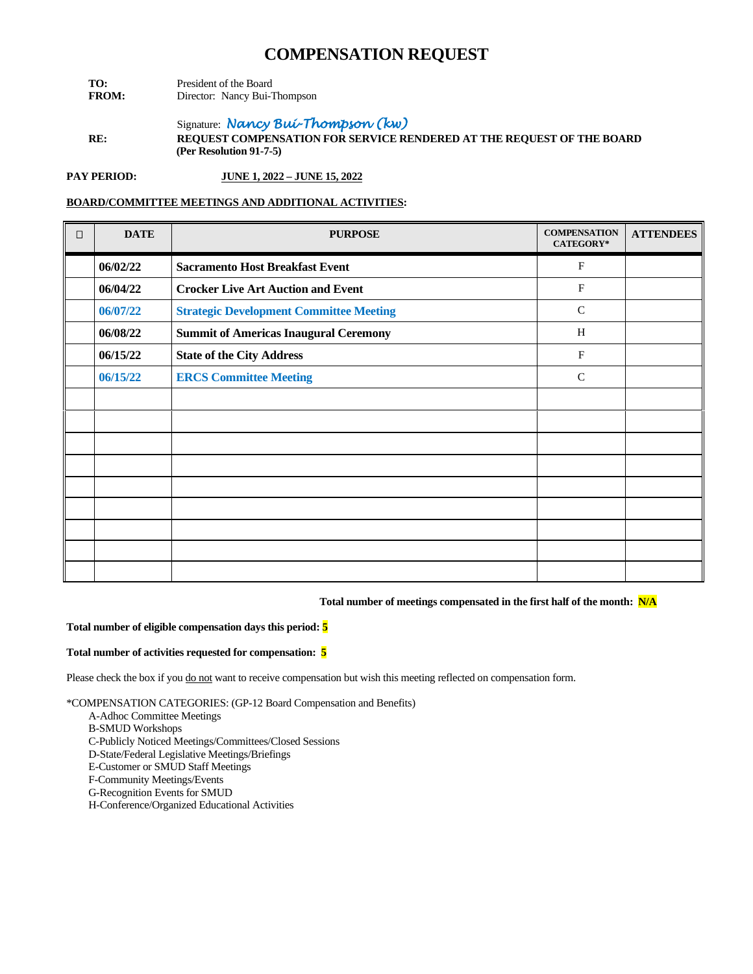- **TO:** President of the Board<br>**FROM:** Director: Nancy Bui-T **Director:** Nancy Bui-Thompson
- Signature: *Nancy Bui-Thompson (kw)* **RE: REQUEST COMPENSATION FOR SERVICE RENDERED AT THE REQUEST OF THE BOARD (Per Resolution 91-7-5)**

**PAY PERIOD: JUNE 1, 2022 – JUNE 15, 2022**

## **BOARD/COMMITTEE MEETINGS AND ADDITIONAL ACTIVITIES:**

| $\Box$ | <b>DATE</b> | <b>PURPOSE</b>                                 | <b>COMPENSATION</b><br>CATEGORY* | <b>ATTENDEES</b> |
|--------|-------------|------------------------------------------------|----------------------------------|------------------|
|        | 06/02/22    | <b>Sacramento Host Breakfast Event</b>         | $_{\rm F}$                       |                  |
|        | 06/04/22    | <b>Crocker Live Art Auction and Event</b>      | $\mathbf F$                      |                  |
|        | 06/07/22    | <b>Strategic Development Committee Meeting</b> | $\mathsf{C}$                     |                  |
|        | 06/08/22    | <b>Summit of Americas Inaugural Ceremony</b>   | H                                |                  |
|        | 06/15/22    | <b>State of the City Address</b>               | $\mathbf F$                      |                  |
|        | 06/15/22    | <b>ERCS Committee Meeting</b>                  | $\mathsf{C}$                     |                  |
|        |             |                                                |                                  |                  |
|        |             |                                                |                                  |                  |
|        |             |                                                |                                  |                  |
|        |             |                                                |                                  |                  |
|        |             |                                                |                                  |                  |
|        |             |                                                |                                  |                  |
|        |             |                                                |                                  |                  |
|        |             |                                                |                                  |                  |
|        |             |                                                |                                  |                  |

**Total number of meetings compensated in the first half of the month: N/A**

#### **Total number of eligible compensation days this period: 5**

#### **Total number of activities requested for compensation: 5**

Please check the box if you do not want to receive compensation but wish this meeting reflected on compensation form.

- A-Adhoc Committee Meetings
- B-SMUD Workshops
- C-Publicly Noticed Meetings/Committees/Closed Sessions
- D-State/Federal Legislative Meetings/Briefings
- E-Customer or SMUD Staff Meetings
- F-Community Meetings/Events
- G-Recognition Events for SMUD
- H-Conference/Organized Educational Activities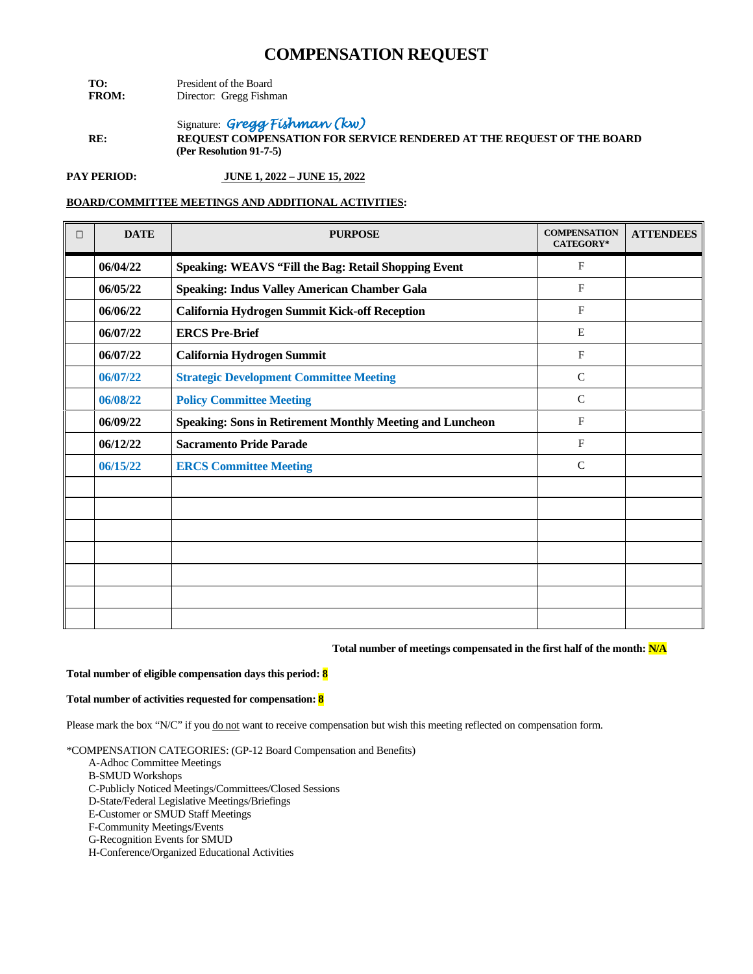- **TO:** President of the Board<br>**FROM:** Director: Gregg Fishn **Director:** Gregg Fishman
- Signature: *Gregg Fishman (kw)*  **RE: REQUEST COMPENSATION FOR SERVICE RENDERED AT THE REQUEST OF THE BOARD (Per Resolution 91-7-5)**

**PAY PERIOD: JUNE 1, 2022 – JUNE 15, 2022**

## **BOARD/COMMITTEE MEETINGS AND ADDITIONAL ACTIVITIES:**

| П | <b>DATE</b> | <b>PURPOSE</b>                                                   | <b>COMPENSATION</b><br><b>CATEGORY*</b> | <b>ATTENDEES</b> |
|---|-------------|------------------------------------------------------------------|-----------------------------------------|------------------|
|   | 06/04/22    | Speaking: WEAVS "Fill the Bag: Retail Shopping Event             | $\mathbf{F}$                            |                  |
|   | 06/05/22    | <b>Speaking: Indus Valley American Chamber Gala</b>              | F                                       |                  |
|   | 06/06/22    | <b>California Hydrogen Summit Kick-off Reception</b>             | F                                       |                  |
|   | 06/07/22    | <b>ERCS Pre-Brief</b>                                            | E                                       |                  |
|   | 06/07/22    | California Hydrogen Summit                                       | $\mathbf{F}$                            |                  |
|   | 06/07/22    | <b>Strategic Development Committee Meeting</b>                   | $\mathsf{C}$                            |                  |
|   | 06/08/22    | <b>Policy Committee Meeting</b>                                  | $\mathsf{C}$                            |                  |
|   | 06/09/22    | <b>Speaking: Sons in Retirement Monthly Meeting and Luncheon</b> | F                                       |                  |
|   | 06/12/22    | <b>Sacramento Pride Parade</b>                                   | F                                       |                  |
|   | 06/15/22    | <b>ERCS Committee Meeting</b>                                    | $\mathbf C$                             |                  |
|   |             |                                                                  |                                         |                  |
|   |             |                                                                  |                                         |                  |
|   |             |                                                                  |                                         |                  |
|   |             |                                                                  |                                         |                  |
|   |             |                                                                  |                                         |                  |
|   |             |                                                                  |                                         |                  |
|   |             |                                                                  |                                         |                  |

#### **Total number of meetings compensated in the first half of the month: N/A**

#### **Total number of eligible compensation days this period: 8**

#### **Total number of activities requested for compensation: 8**

Please mark the box "N/C" if you do not want to receive compensation but wish this meeting reflected on compensation form.

- A-Adhoc Committee Meetings
- B-SMUD Workshops
- C-Publicly Noticed Meetings/Committees/Closed Sessions
- D-State/Federal Legislative Meetings/Briefings
- E-Customer or SMUD Staff Meetings
- F-Community Meetings/Events
- G-Recognition Events for SMUD
- H-Conference/Organized Educational Activities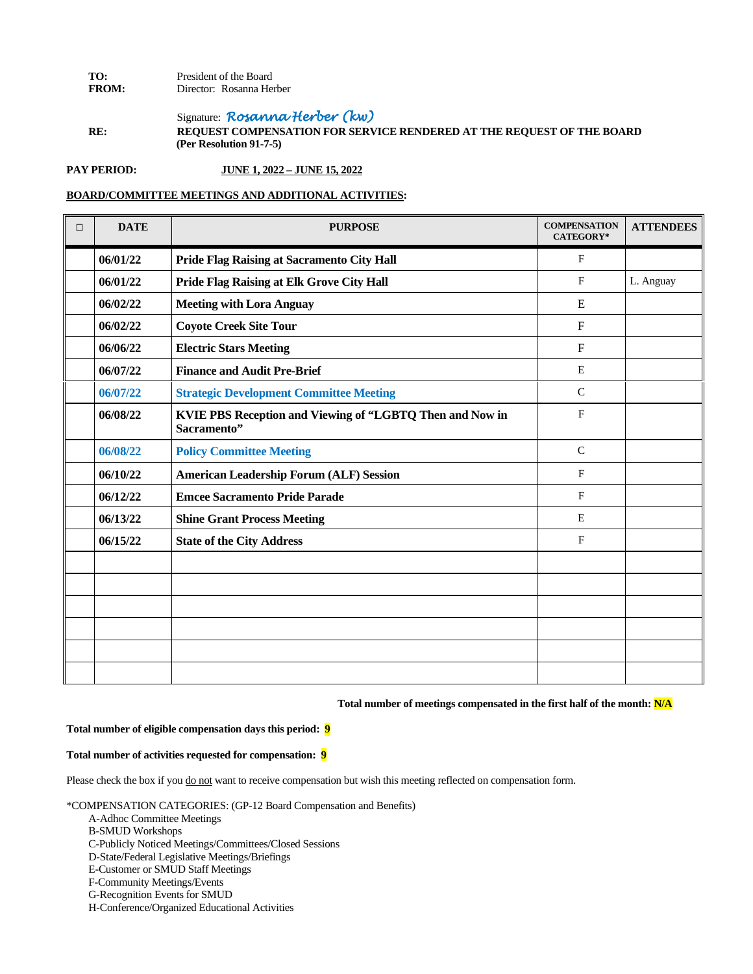### **TO:** President of the Board<br>**FROM:** Director: Rosanna He Director: Rosanna Herber

Signature: *Rosanna Herber (kw)* **RE: REQUEST COMPENSATION FOR SERVICE RENDERED AT THE REQUEST OF THE BOARD (Per Resolution 91-7-5)**

## **PAY PERIOD: JUNE 1, 2022 – JUNE 15, 2022**

### **BOARD/COMMITTEE MEETINGS AND ADDITIONAL ACTIVITIES:**

| $\Box$ | <b>DATE</b> | <b>PURPOSE</b>                                                          | <b>COMPENSATION</b><br>CATEGORY* | <b>ATTENDEES</b> |
|--------|-------------|-------------------------------------------------------------------------|----------------------------------|------------------|
|        | 06/01/22    | Pride Flag Raising at Sacramento City Hall                              | $\mathbf{F}$                     |                  |
|        | 06/01/22    | Pride Flag Raising at Elk Grove City Hall                               | $\mathbf{F}$                     | L. Anguay        |
|        | 06/02/22    | <b>Meeting with Lora Anguay</b>                                         | E                                |                  |
|        | 06/02/22    | <b>Coyote Creek Site Tour</b>                                           | $\mathbf F$                      |                  |
|        | 06/06/22    | <b>Electric Stars Meeting</b>                                           | $\boldsymbol{\mathrm{F}}$        |                  |
|        | 06/07/22    | <b>Finance and Audit Pre-Brief</b>                                      | E                                |                  |
|        | 06/07/22    | <b>Strategic Development Committee Meeting</b>                          | $\mathcal{C}$                    |                  |
|        | 06/08/22    | KVIE PBS Reception and Viewing of "LGBTQ Then and Now in<br>Sacramento" | $\mathbf{F}$                     |                  |
|        | 06/08/22    | <b>Policy Committee Meeting</b>                                         | $\mathcal{C}$                    |                  |
|        | 06/10/22    | <b>American Leadership Forum (ALF) Session</b>                          | F                                |                  |
|        | 06/12/22    | <b>Emcee Sacramento Pride Parade</b>                                    | $\mathbf{F}$                     |                  |
|        | 06/13/22    | <b>Shine Grant Process Meeting</b>                                      | E                                |                  |
|        | 06/15/22    | <b>State of the City Address</b>                                        | F                                |                  |
|        |             |                                                                         |                                  |                  |
|        |             |                                                                         |                                  |                  |
|        |             |                                                                         |                                  |                  |
|        |             |                                                                         |                                  |                  |
|        |             |                                                                         |                                  |                  |
|        |             |                                                                         |                                  |                  |

**Total number of meetings compensated in the first half of the month: N/A**

#### **Total number of eligible compensation days this period: 9**

#### **Total number of activities requested for compensation: 9**

Please check the box if you do not want to receive compensation but wish this meeting reflected on compensation form.

- A-Adhoc Committee Meetings
- B-SMUD Workshops
- C-Publicly Noticed Meetings/Committees/Closed Sessions
- D-State/Federal Legislative Meetings/Briefings
- E-Customer or SMUD Staff Meetings
- F-Community Meetings/Events
- G-Recognition Events for SMUD
- H-Conference/Organized Educational Activities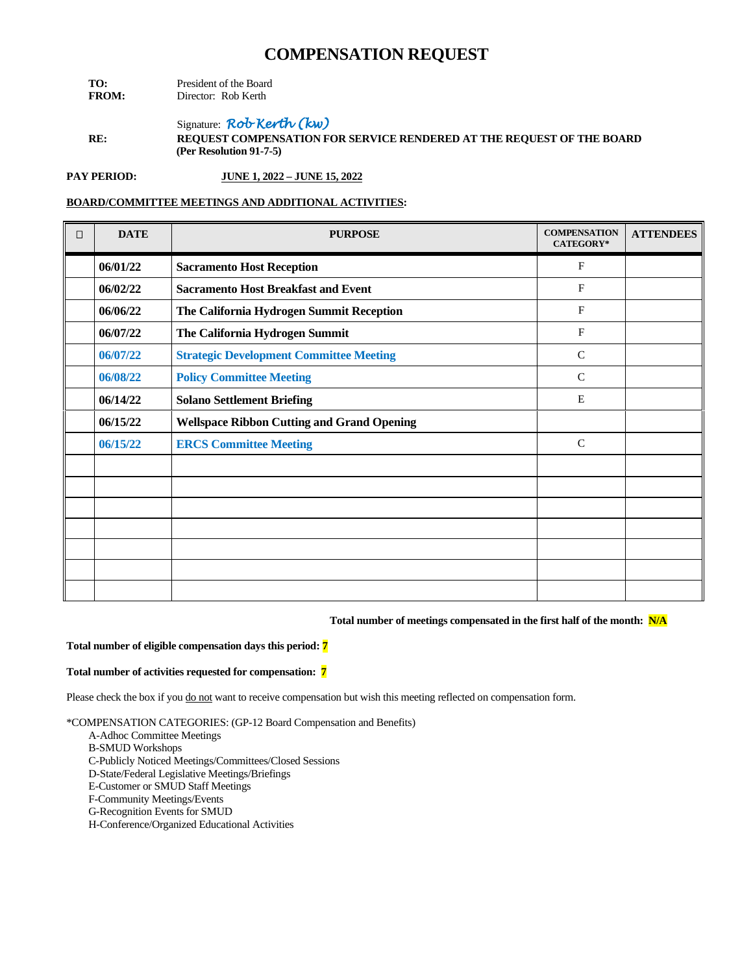| TO:          | President of the Board |  |
|--------------|------------------------|--|
| <b>FROM:</b> | Director: Rob Kerth    |  |

Signature: *Rob Kerth (kw)* **RE: REQUEST COMPENSATION FOR SERVICE RENDERED AT THE REQUEST OF THE BOARD (Per Resolution 91-7-5)**

**PAY PERIOD: JUNE 1, 2022 – JUNE 15, 2022**

### **BOARD/COMMITTEE MEETINGS AND ADDITIONAL ACTIVITIES:**

| $\Box$ | <b>DATE</b> | <b>PURPOSE</b>                                    | <b>COMPENSATION</b><br>CATEGORY* | <b>ATTENDEES</b> |
|--------|-------------|---------------------------------------------------|----------------------------------|------------------|
|        | 06/01/22    | <b>Sacramento Host Reception</b>                  | F                                |                  |
|        | 06/02/22    | <b>Sacramento Host Breakfast and Event</b>        | F                                |                  |
|        | 06/06/22    | The California Hydrogen Summit Reception          | $\mathbf{F}$                     |                  |
|        | 06/07/22    | The California Hydrogen Summit                    | $\mathbf{F}$                     |                  |
|        | 06/07/22    | <b>Strategic Development Committee Meeting</b>    | $\mathsf{C}$                     |                  |
|        | 06/08/22    | <b>Policy Committee Meeting</b>                   | $\mathcal{C}$                    |                  |
|        | 06/14/22    | <b>Solano Settlement Briefing</b>                 | E                                |                  |
|        | 06/15/22    | <b>Wellspace Ribbon Cutting and Grand Opening</b> |                                  |                  |
|        | 06/15/22    | <b>ERCS Committee Meeting</b>                     | $\mathbf C$                      |                  |
|        |             |                                                   |                                  |                  |
|        |             |                                                   |                                  |                  |
|        |             |                                                   |                                  |                  |
|        |             |                                                   |                                  |                  |
|        |             |                                                   |                                  |                  |
|        |             |                                                   |                                  |                  |
|        |             |                                                   |                                  |                  |

#### **Total number of meetings compensated in the first half of the month: N/A**

#### **Total number of eligible compensation days this period: 7**

#### **Total number of activities requested for compensation: 7**

Please check the box if you do not want to receive compensation but wish this meeting reflected on compensation form.

- A-Adhoc Committee Meetings
- B-SMUD Workshops
- C-Publicly Noticed Meetings/Committees/Closed Sessions
- D-State/Federal Legislative Meetings/Briefings
- E-Customer or SMUD Staff Meetings
- F-Community Meetings/Events
- G-Recognition Events for SMUD
- H-Conference/Organized Educational Activities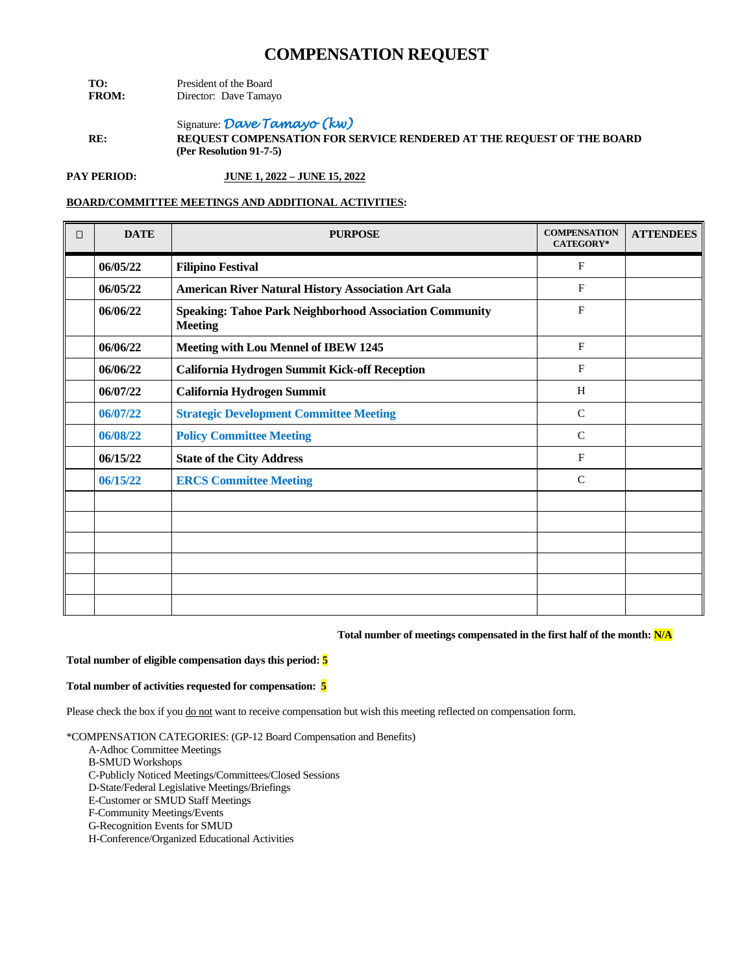| TO:          | President of the Board |  |
|--------------|------------------------|--|
| <b>FROM:</b> | Director: Dave Tamayo  |  |

Signature: *Dave Tamayo (kw)* **RE: REQUEST COMPENSATION FOR SERVICE RENDERED AT THE REQUEST OF THE BOARD (Per Resolution 91-7-5)**

**PAY PERIOD: JUNE 1, 2022 – JUNE 15, 2022**

## **BOARD/COMMITTEE MEETINGS AND ADDITIONAL ACTIVITIES:**

| $\Box$ | <b>DATE</b> | <b>PURPOSE</b>                                                                   | <b>COMPENSATION</b><br><b>CATEGORY*</b> | <b>ATTENDEES</b> |
|--------|-------------|----------------------------------------------------------------------------------|-----------------------------------------|------------------|
|        | 06/05/22    | <b>Filipino Festival</b>                                                         | $\mathbf{F}$                            |                  |
|        | 06/05/22    | <b>American River Natural History Association Art Gala</b>                       | F                                       |                  |
|        | 06/06/22    | <b>Speaking: Tahoe Park Neighborhood Association Community</b><br><b>Meeting</b> | $\mathbf{F}$                            |                  |
|        | 06/06/22    | Meeting with Lou Mennel of IBEW 1245                                             | F                                       |                  |
|        | 06/06/22    | California Hydrogen Summit Kick-off Reception                                    | $\mathbf{F}$                            |                  |
|        | 06/07/22    | California Hydrogen Summit                                                       | H                                       |                  |
|        | 06/07/22    | <b>Strategic Development Committee Meeting</b>                                   | $\mathsf{C}$                            |                  |
|        | 06/08/22    | <b>Policy Committee Meeting</b>                                                  | $\mathsf{C}$                            |                  |
|        | 06/15/22    | <b>State of the City Address</b>                                                 | $\mathbf{F}$                            |                  |
|        | 06/15/22    | <b>ERCS Committee Meeting</b>                                                    | $\mathcal{C}$                           |                  |
|        |             |                                                                                  |                                         |                  |
|        |             |                                                                                  |                                         |                  |
|        |             |                                                                                  |                                         |                  |
|        |             |                                                                                  |                                         |                  |
|        |             |                                                                                  |                                         |                  |
|        |             |                                                                                  |                                         |                  |

#### **Total number of meetings compensated in the first half of the month: N/A**

#### **Total number of eligible compensation days this period: 5**

#### **Total number of activities requested for compensation: 5**

Please check the box if you do not want to receive compensation but wish this meeting reflected on compensation form.

- A-Adhoc Committee Meetings
- B-SMUD Workshops
- C-Publicly Noticed Meetings/Committees/Closed Sessions
- D-State/Federal Legislative Meetings/Briefings
- E-Customer or SMUD Staff Meetings
- F-Community Meetings/Events
- G-Recognition Events for SMUD
- H-Conference/Organized Educational Activities